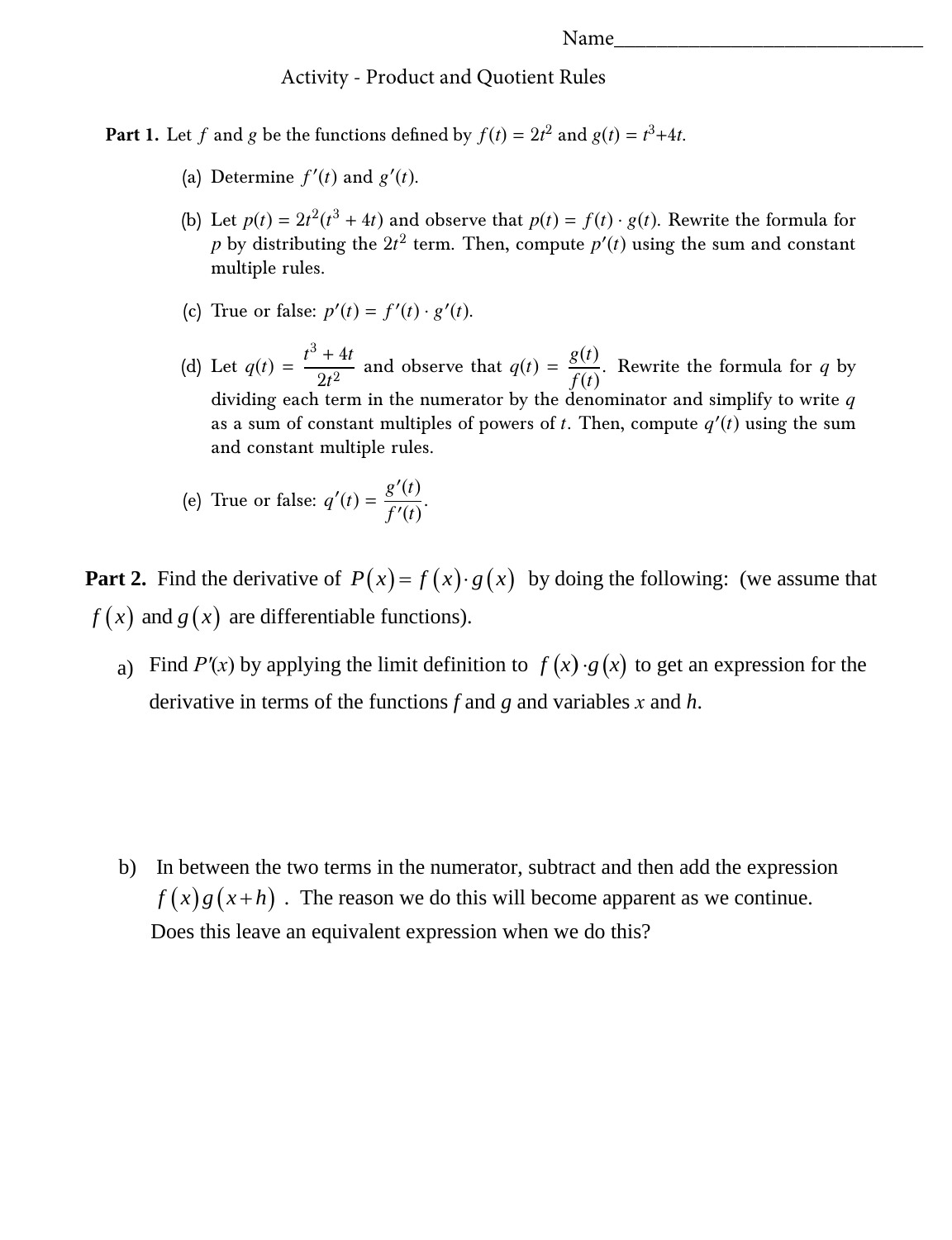## Activity - Product and Quotient Rules

**Part 1.** Let *f* and *g* be the functions defined by  $f(t) = 2t^2$  and  $g(t) = t^3 + 4t$ .

- (a) Determine  $f'(t)$  and  $g'(t)$ .
- (b) Let  $p(t) = 2t^2(t^3 + 4t)$  and observe that  $p(t) = f(t) \cdot g(t)$ . Rewrite the formula for  $p$  by distributing the  $2t^2$  term. Then, compute  $p^{\prime}(t)$  using the sum and constant multiple rules.
- (c) True or false:  $p'(t) = f'(t) \cdot g'(t)$ .
- (d) Let  $q(t) = \frac{t^3 + 4t}{2a^2}$  $\frac{44t}{2t^2}$  and observe that  $q(t) = \frac{g(t)}{f(t)}$  $\frac{\partial \mathbf{v}}{\partial f(t)}$ . Rewrite the formula for *q* by dividing each term in the numerator by the denominator and simplify to write *q* as a sum of constant multiples of powers of *t*. Then, compute  $q'(t)$  using the sum and constant multiple rules.
- (e) True or false:  $q'(t) = \frac{g'(t)}{f'(t)}$  $\frac{\partial}{\partial t}$   $\frac{\partial}{\partial t}$ .

**Part 2.** Find the derivative of  $P(x) = f(x) \cdot g(x)$  by doing the following: (we assume that  $f(x)$  and  $g(x)$  are differentiable functions).

a) Find *P'(x)* by applying the limit definition to  $f(x) \cdot g(x)$  to get an expression for the derivative in terms of the functions *f* and *g* and variables *x* and *h*.

b) In between the two terms in the numerator, subtract and then add the expression  $f(x)g(x+h)$ . The reason we do this will become apparent as we continue. Does this leave an equivalent expression when we do this?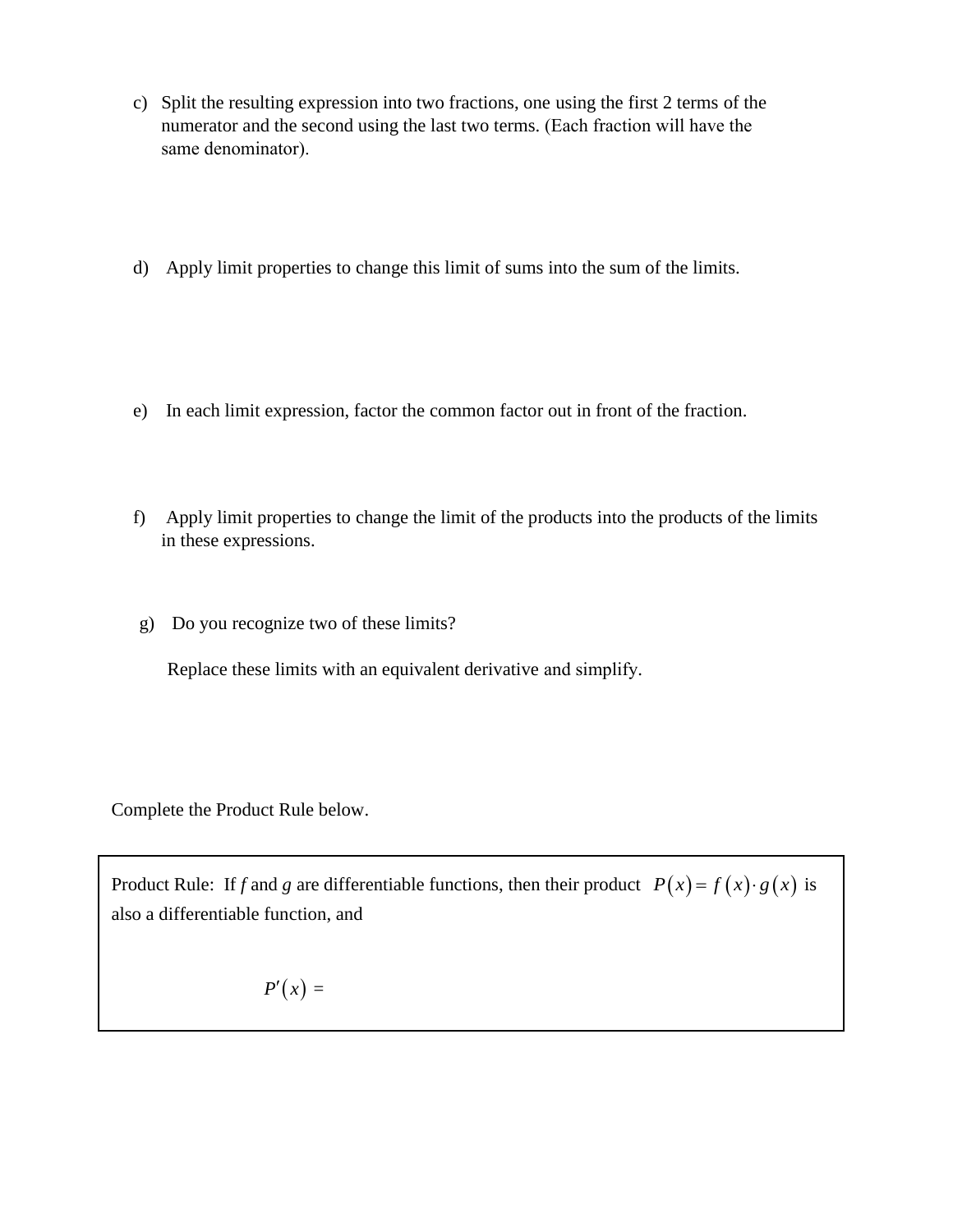- c) Split the resulting expression into two fractions, one using the first 2 terms of the numerator and the second using the last two terms. (Each fraction will have the same denominator).
- d) Apply limit properties to change this limit of sums into the sum of the limits.
- e) In each limit expression, factor the common factor out in front of the fraction.
- f) Apply limit properties to change the limit of the products into the products of the limits in these expressions.
- g) Do you recognize two of these limits?

Replace these limits with an equivalent derivative and simplify.

Complete the Product Rule below.

Product Rule: If *f* and *g* are differentiable functions, then their product  $P(x) = f(x) \cdot g(x)$  is also a differentiable function, and

$$
P'(x) =
$$